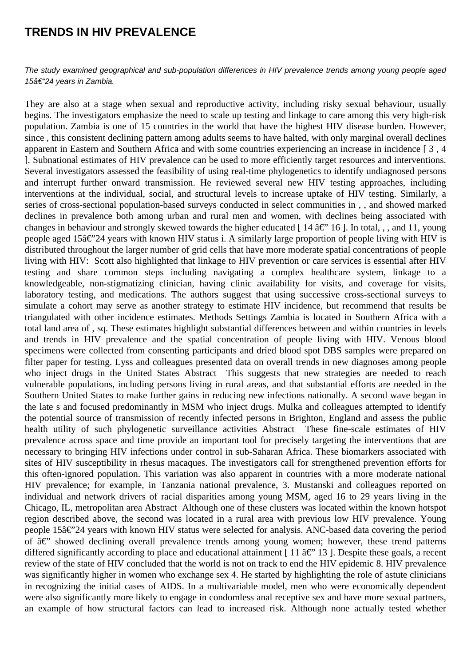## **TRENDS IN HIV PREVALENCE**

The study examined geographical and sub-population differences in HIV prevalence trends among young people aged 15†"24 years in Zambia.

They are also at a stage when sexual and reproductive activity, including risky sexual behaviour, usually begins. The investigators emphasize the need to scale up testing and linkage to care among this very high-risk population. Zambia is one of 15 countries in the world that have the highest HIV disease burden. However, since , this consistent declining pattern among adults seems to have halted, with only marginal overall declines apparent in Eastern and Southern Africa and with some countries experiencing an increase in incidence [ 3 , 4 ]. Subnational estimates of HIV prevalence can be used to more efficiently target resources and interventions. Several investigators assessed the feasibility of using real-time phylogenetics to identify undiagnosed persons and interrupt further onward transmission. He reviewed several new HIV testing approaches, including interventions at the individual, social, and structural levels to increase uptake of HIV testing. Similarly, a series of cross-sectional population-based surveys conducted in select communities in , , and showed marked declines in prevalence both among urban and rural men and women, with declines being associated with changes in behaviour and strongly skewed towards the higher educated [14  $\hat{a} \in$ " 16 ]. In total, , , and 11, young people aged 15 $\hat{a} \in \hat{C}$  years with known HIV status i. A similarly large proportion of people living with HIV is distributed throughout the larger number of grid cells that have more moderate spatial concentrations of people living with HIV: Scott also highlighted that linkage to HIV prevention or care services is essential after HIV testing and share common steps including navigating a complex healthcare system, linkage to a knowledgeable, non-stigmatizing clinician, having clinic availability for visits, and coverage for visits, laboratory testing, and medications. The authors suggest that using successive cross-sectional surveys to simulate a cohort may serve as another strategy to estimate HIV incidence, but recommend that results be triangulated with other incidence estimates. Methods Settings Zambia is located in Southern Africa with a total land area of , sq. These estimates highlight substantial differences between and within countries in levels and trends in HIV prevalence and the spatial concentration of people living with HIV. Venous blood specimens were collected from consenting participants and dried blood spot DBS samples were prepared on filter paper for testing. Lyss and colleagues presented data on overall trends in new diagnoses among people who inject drugs in the United States Abstract This suggests that new strategies are needed to reach vulnerable populations, including persons living in rural areas, and that substantial efforts are needed in the Southern United States to make further gains in reducing new infections nationally. A second wave began in the late s and focused predominantly in MSM who inject drugs. Mulka and colleagues attempted to identify the potential source of transmission of recently infected persons in Brighton, England and assess the public health utility of such phylogenetic surveillance activities Abstract These fine-scale estimates of HIV prevalence across space and time provide an important tool for precisely targeting the interventions that are necessary to bringing HIV infections under control in sub-Saharan Africa. These biomarkers associated with sites of HIV susceptibility in rhesus macaques. The investigators call for strengthened prevention efforts for this often-ignored population. This variation was also apparent in countries with a more moderate national HIV prevalence; for example, in Tanzania national prevalence, 3. Mustanski and colleagues reported on individual and network drivers of racial disparities among young MSM, aged 16 to 29 years living in the Chicago, IL, metropolitan area Abstract Although one of these clusters was located within the known hotspot region described above, the second was located in a rural area with previous low HIV prevalence. Young people 15 $\hat{a} \in \hat{C}$  years with known HIV status were selected for analysis. ANC-based data covering the period of  $\hat{a}\in$ " showed declining overall prevalence trends among young women; however, these trend patterns differed significantly according to place and educational attainment [11  $\hat{a} \in \mathbb{C}$  13 ]. Despite these goals, a recent review of the state of HIV concluded that the world is not on track to end the HIV epidemic 8. HIV prevalence was significantly higher in women who exchange sex 4. He started by highlighting the role of astute clinicians in recognizing the initial cases of AIDS. In a multivariable model, men who were economically dependent were also significantly more likely to engage in condomless anal receptive sex and have more sexual partners, an example of how structural factors can lead to increased risk. Although none actually tested whether